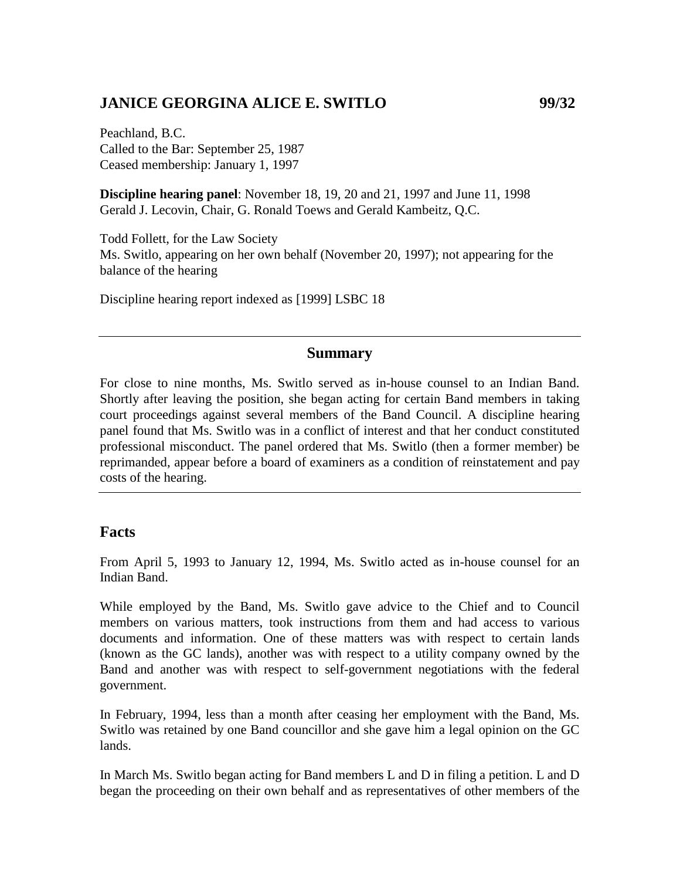## **JANICE GEORGINA ALICE E. SWITLO 99/32**

Peachland, B.C. Called to the Bar: September 25, 1987 Ceased membership: January 1, 1997

**Discipline hearing panel**: November 18, 19, 20 and 21, 1997 and June 11, 1998 Gerald J. Lecovin, Chair, G. Ronald Toews and Gerald Kambeitz, Q.C.

Todd Follett, for the Law Society Ms. Switlo, appearing on her own behalf (November 20, 1997); not appearing for the balance of the hearing

Discipline hearing report indexed as [1999] LSBC 18

#### **Summary**

For close to nine months, Ms. Switlo served as in-house counsel to an Indian Band. Shortly after leaving the position, she began acting for certain Band members in taking court proceedings against several members of the Band Council. A discipline hearing panel found that Ms. Switlo was in a conflict of interest and that her conduct constituted professional misconduct. The panel ordered that Ms. Switlo (then a former member) be reprimanded, appear before a board of examiners as a condition of reinstatement and pay costs of the hearing.

#### **Facts**

From April 5, 1993 to January 12, 1994, Ms. Switlo acted as in-house counsel for an Indian Band.

While employed by the Band, Ms. Switlo gave advice to the Chief and to Council members on various matters, took instructions from them and had access to various documents and information. One of these matters was with respect to certain lands (known as the GC lands), another was with respect to a utility company owned by the Band and another was with respect to self-government negotiations with the federal government.

In February, 1994, less than a month after ceasing her employment with the Band, Ms. Switlo was retained by one Band councillor and she gave him a legal opinion on the GC lands.

In March Ms. Switlo began acting for Band members L and D in filing a petition. L and D began the proceeding on their own behalf and as representatives of other members of the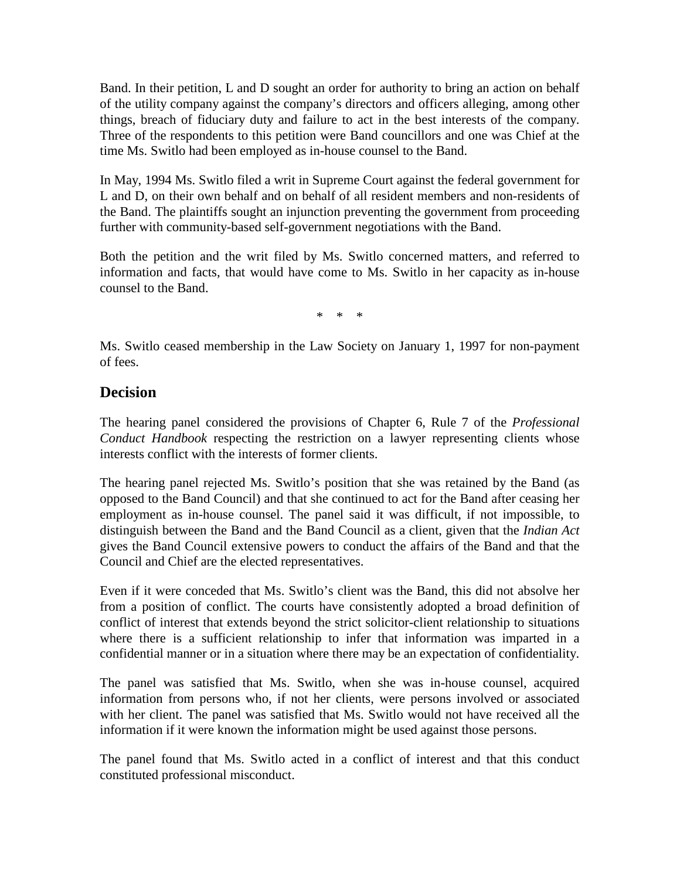Band. In their petition, L and D sought an order for authority to bring an action on behalf of the utility company against the company's directors and officers alleging, among other things, breach of fiduciary duty and failure to act in the best interests of the company. Three of the respondents to this petition were Band councillors and one was Chief at the time Ms. Switlo had been employed as in-house counsel to the Band.

In May, 1994 Ms. Switlo filed a writ in Supreme Court against the federal government for L and D, on their own behalf and on behalf of all resident members and non-residents of the Band. The plaintiffs sought an injunction preventing the government from proceeding further with community-based self-government negotiations with the Band.

Both the petition and the writ filed by Ms. Switlo concerned matters, and referred to information and facts, that would have come to Ms. Switlo in her capacity as in-house counsel to the Band.

\* \* \*

Ms. Switlo ceased membership in the Law Society on January 1, 1997 for non-payment of fees.

### **Decision**

The hearing panel considered the provisions of Chapter 6, Rule 7 of the *Professional Conduct Handbook* respecting the restriction on a lawyer representing clients whose interests conflict with the interests of former clients.

The hearing panel rejected Ms. Switlo's position that she was retained by the Band (as opposed to the Band Council) and that she continued to act for the Band after ceasing her employment as in-house counsel. The panel said it was difficult, if not impossible, to distinguish between the Band and the Band Council as a client, given that the *Indian Act*  gives the Band Council extensive powers to conduct the affairs of the Band and that the Council and Chief are the elected representatives.

Even if it were conceded that Ms. Switlo's client was the Band, this did not absolve her from a position of conflict. The courts have consistently adopted a broad definition of conflict of interest that extends beyond the strict solicitor-client relationship to situations where there is a sufficient relationship to infer that information was imparted in a confidential manner or in a situation where there may be an expectation of confidentiality.

The panel was satisfied that Ms. Switlo, when she was in-house counsel, acquired information from persons who, if not her clients, were persons involved or associated with her client. The panel was satisfied that Ms. Switlo would not have received all the information if it were known the information might be used against those persons.

The panel found that Ms. Switlo acted in a conflict of interest and that this conduct constituted professional misconduct.